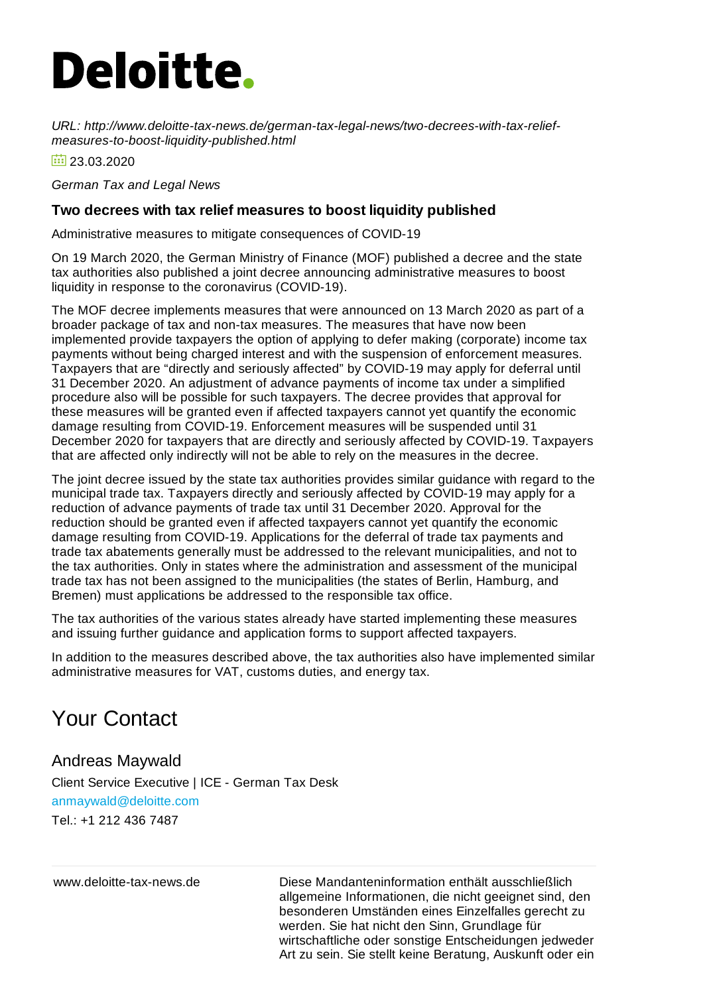## **Deloitte.**

*URL: http://www.deloitte-tax-news.de/german-tax-legal-news/two-decrees-with-tax-reliefmeasures-to-boost-liquidity-published.html*

 $\frac{1}{2}$  23.03.2020

*German Tax and Legal News*

## **Two decrees with tax relief measures to boost liquidity published**

Administrative measures to mitigate consequences of COVID-19

On 19 March 2020, the German Ministry of Finance (MOF) published a decree and the state tax authorities also published a joint decree announcing administrative measures to boost liquidity in response to the coronavirus (COVID-19).

The MOF decree implements measures that were announced on 13 March 2020 as part of a broader package of tax and non-tax measures. The measures that have now been implemented provide taxpayers the option of applying to defer making (corporate) income tax payments without being charged interest and with the suspension of enforcement measures. Taxpayers that are "directly and seriously affected" by COVID-19 may apply for deferral until 31 December 2020. An adjustment of advance payments of income tax under a simplified procedure also will be possible for such taxpayers. The decree provides that approval for these measures will be granted even if affected taxpayers cannot yet quantify the economic damage resulting from COVID-19. Enforcement measures will be suspended until 31 December 2020 for taxpayers that are directly and seriously affected by COVID-19. Taxpayers that are affected only indirectly will not be able to rely on the measures in the decree.

The joint decree issued by the state tax authorities provides similar guidance with regard to the municipal trade tax. Taxpayers directly and seriously affected by COVID-19 may apply for a reduction of advance payments of trade tax until 31 December 2020. Approval for the reduction should be granted even if affected taxpayers cannot yet quantify the economic damage resulting from COVID-19. Applications for the deferral of trade tax payments and trade tax abatements generally must be addressed to the relevant municipalities, and not to the tax authorities. Only in states where the administration and assessment of the municipal trade tax has not been assigned to the municipalities (the states of Berlin, Hamburg, and Bremen) must applications be addressed to the responsible tax office.

The tax authorities of the various states already have started implementing these measures and issuing further guidance and application forms to support affected taxpayers.

In addition to the measures described above, the tax authorities also have implemented similar administrative measures for VAT, customs duties, and energy tax.

## Your Contact

## Andreas Maywald

Client Service Executive | ICE - German Tax Desk [anmaywald@deloitte.com](mailto:anmaywald@deloitte.com) Tel.: +1 212 436 [7487](tel:+1 212 436 7487)

www.deloitte-tax-news.de Diese Mandanteninformation enthält ausschließlich allgemeine Informationen, die nicht geeignet sind, den besonderen Umständen eines Einzelfalles gerecht zu werden. Sie hat nicht den Sinn, Grundlage für wirtschaftliche oder sonstige Entscheidungen jedweder Art zu sein. Sie stellt keine Beratung, Auskunft oder ein